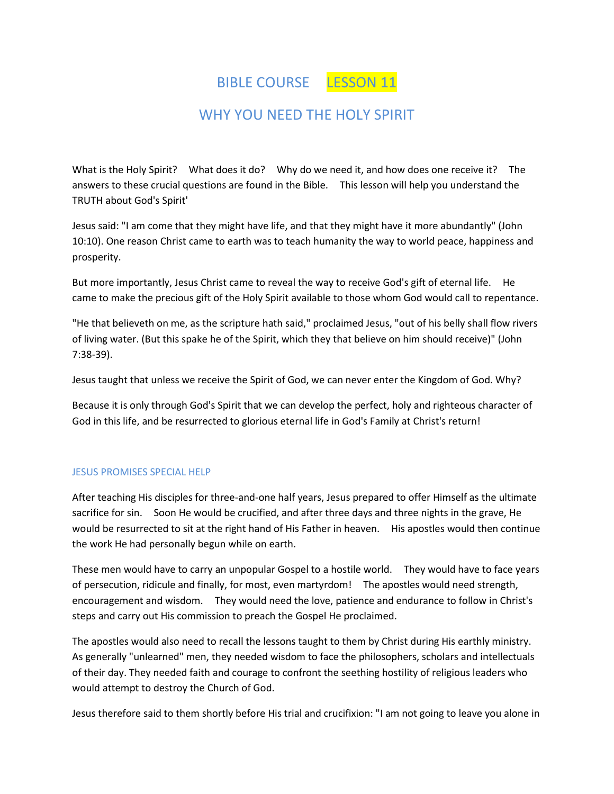BIBLE COURSE LESSON 11

# WHY YOU NEED THE HOLY SPIRIT

What is the Holy Spirit? What does it do? Why do we need it, and how does one receive it? The answers to these crucial questions are found in the Bible. This lesson will help you understand the TRUTH about God's Spirit'

Jesus said: "I am come that they might have life, and that they might have it more abundantly" (John 10:10). One reason Christ came to earth was to teach humanity the way to world peace, happiness and prosperity.

But more importantly, Jesus Christ came to reveal the way to receive God's gift of eternal life. He came to make the precious gift of the Holy Spirit available to those whom God would call to repentance.

"He that believeth on me, as the scripture hath said," proclaimed Jesus, "out of his belly shall flow rivers of living water. (But this spake he of the Spirit, which they that believe on him should receive)" (John 7:38-39).

Jesus taught that unless we receive the Spirit of God, we can never enter the Kingdom of God. Why?

Because it is only through God's Spirit that we can develop the perfect, holy and righteous character of God in this life, and be resurrected to glorious eternal life in God's Family at Christ's return!

# JESUS PROMISES SPECIAL HELP

After teaching His disciples for three-and-one half years, Jesus prepared to offer Himself as the ultimate sacrifice for sin. Soon He would be crucified, and after three days and three nights in the grave, He would be resurrected to sit at the right hand of His Father in heaven. His apostles would then continue the work He had personally begun while on earth.

These men would have to carry an unpopular Gospel to a hostile world. They would have to face years of persecution, ridicule and finally, for most, even martyrdom! The apostles would need strength, encouragement and wisdom. They would need the love, patience and endurance to follow in Christ's steps and carry out His commission to preach the Gospel He proclaimed.

The apostles would also need to recall the lessons taught to them by Christ during His earthly ministry. As generally "unlearned" men, they needed wisdom to face the philosophers, scholars and intellectuals of their day. They needed faith and courage to confront the seething hostility of religious leaders who would attempt to destroy the Church of God.

Jesus therefore said to them shortly before His trial and crucifixion: "I am not going to leave you alone in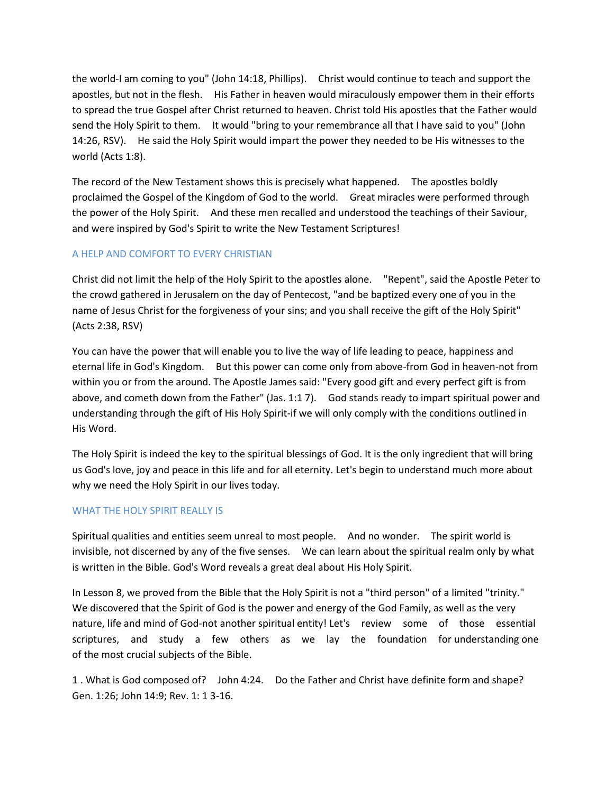the world-I am coming to you" (John 14:18, Phillips). Christ would continue to teach and support the apostles, but not in the flesh. His Father in heaven would miraculously empower them in their efforts to spread the true Gospel after Christ returned to heaven. Christ told His apostles that the Father would send the Holy Spirit to them. It would "bring to your remembrance all that I have said to you" (John 14:26, RSV). He said the Holy Spirit would impart the power they needed to be His witnesses to the world (Acts 1:8).

The record of the New Testament shows this is precisely what happened. The apostles boldly proclaimed the Gospel of the Kingdom of God to the world. Great miracles were performed through the power of the Holy Spirit. And these men recalled and understood the teachings of their Saviour, and were inspired by God's Spirit to write the New Testament Scriptures!

### A HELP AND COMFORT TO EVERY CHRISTIAN

Christ did not limit the help of the Holy Spirit to the apostles alone. "Repent", said the Apostle Peter to the crowd gathered in Jerusalem on the day of Pentecost, "and be baptized every one of you in the name of Jesus Christ for the forgiveness of your sins; and you shall receive the gift of the Holy Spirit" (Acts 2:38, RSV)

You can have the power that will enable you to live the way of life leading to peace, happiness and eternal life in God's Kingdom. But this power can come only from above-from God in heaven-not from within you or from the around. The Apostle James said: "Every good gift and every perfect gift is from above, and cometh down from the Father" (Jas. 1:1 7). God stands ready to impart spiritual power and understanding through the gift of His Holy Spirit-if we will only comply with the conditions outlined in His Word.

The Holy Spirit is indeed the key to the spiritual blessings of God. It is the only ingredient that will bring us God's love, joy and peace in this life and for all eternity. Let's begin to understand much more about why we need the Holy Spirit in our lives today.

#### WHAT THE HOLY SPIRIT REALLY IS

Spiritual qualities and entities seem unreal to most people. And no wonder. The spirit world is invisible, not discerned by any of the five senses. We can learn about the spiritual realm only by what is written in the Bible. God's Word reveals a great deal about His Holy Spirit.

In Lesson 8, we proved from the Bible that the Holy Spirit is not a "third person" of a limited "trinity." We discovered that the Spirit of God is the power and energy of the God Family, as well as the very nature, life and mind of God-not another spiritual entity! Let's review some of those essential scriptures, and study a few others as we lay the foundation for understanding one of the most crucial subjects of the Bible.

1 . What is God composed of? John 4:24. Do the Father and Christ have definite form and shape? Gen. 1:26; John 14:9; Rev. 1: 1 3-16.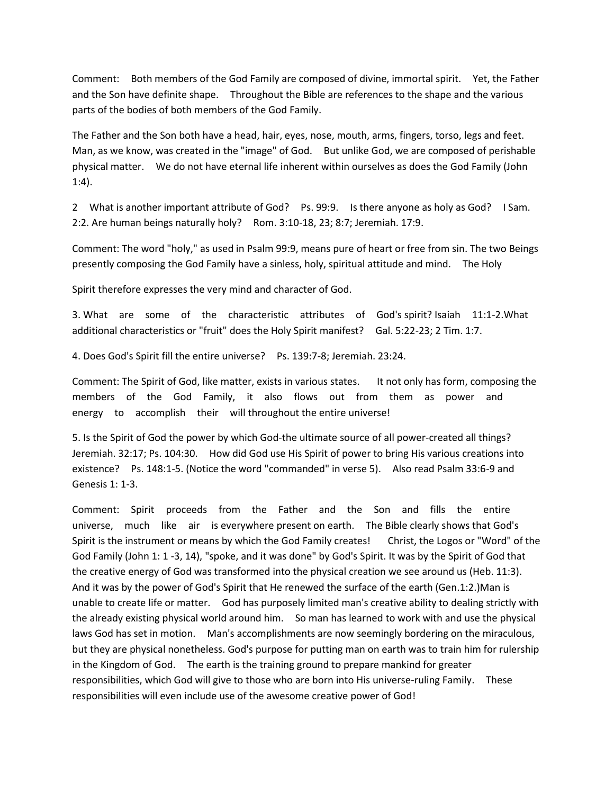Comment: Both members of the God Family are composed of divine, immortal spirit. Yet, the Father and the Son have definite shape. Throughout the Bible are references to the shape and the various parts of the bodies of both members of the God Family.

The Father and the Son both have a head, hair, eyes, nose, mouth, arms, fingers, torso, legs and feet. Man, as we know, was created in the "image" of God. But unlike God, we are composed of perishable physical matter. We do not have eternal life inherent within ourselves as does the God Family (John 1:4).

2 What is another important attribute of God? Ps. 99:9. Is there anyone as holy as God? I Sam. 2:2. Are human beings naturally holy? Rom. 3:10-18, 23; 8:7; Jeremiah. 17:9.

Comment: The word "holy," as used in Psalm 99:9, means pure of heart or free from sin. The two Beings presently composing the God Family have a sinless, holy, spiritual attitude and mind. The Holy

Spirit therefore expresses the very mind and character of God.

3. What are some of the characteristic attributes of God's spirit? Isaiah 11:1-2.What additional characteristics or "fruit" does the Holy Spirit manifest? Gal. 5:22-23; 2 Tim. 1:7.

4. Does God's Spirit fill the entire universe? Ps. 139:7-8; Jeremiah. 23:24.

Comment: The Spirit of God, like matter, exists in various states. It not only has form, composing the members of the God Family, it also flows out from them as power and energy to accomplish their will throughout the entire universe!

5. Is the Spirit of God the power by which God-the ultimate source of all power-created all things? Jeremiah. 32:17; Ps. 104:30. How did God use His Spirit of power to bring His various creations into existence? Ps. 148:1-5. (Notice the word "commanded" in verse 5). Also read Psalm 33:6-9 and Genesis 1: 1-3.

Comment: Spirit proceeds from the Father and the Son and fills the entire universe, much like air is everywhere present on earth. The Bible clearly shows that God's Spirit is the instrument or means by which the God Family creates! Christ, the Logos or "Word" of the God Family (John 1: 1 -3, 14), "spoke, and it was done" by God's Spirit. It was by the Spirit of God that the creative energy of God was transformed into the physical creation we see around us (Heb. 11:3). And it was by the power of God's Spirit that He renewed the surface of the earth (Gen.1:2.)Man is unable to create life or matter. God has purposely limited man's creative ability to dealing strictly with the already existing physical world around him. So man has learned to work with and use the physical laws God has set in motion. Man's accomplishments are now seemingly bordering on the miraculous, but they are physical nonetheless. God's purpose for putting man on earth was to train him for rulership in the Kingdom of God. The earth is the training ground to prepare mankind for greater responsibilities, which God will give to those who are born into His universe-ruling Family. These responsibilities will even include use of the awesome creative power of God!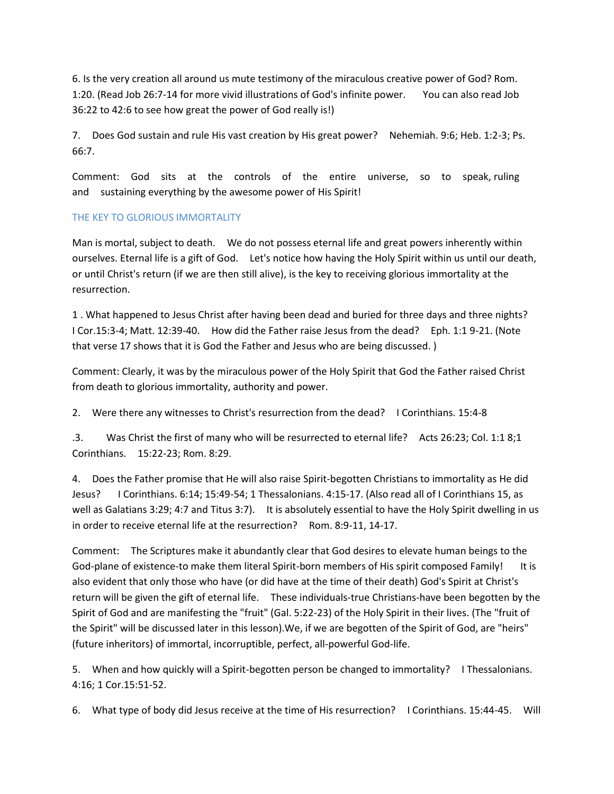6. Is the very creation all around us mute testimony of the miraculous creative power of God? Rom. 1:20. (Read Job 26:7-14 for more vivid illustrations of God's infinite power. You can also read Job 36:22 to 42:6 to see how great the power of God really is!)

7. Does God sustain and rule His vast creation by His great power? Nehemiah. 9:6; Heb. 1:2-3; Ps. 66:7.

Comment: God sits at the controls of the entire universe, so to speak, ruling and sustaining everything by the awesome power of His Spirit!

# THE KEY TO GLORIOUS IMMORTALITY

Man is mortal, subject to death. We do not possess eternal life and great powers inherently within ourselves. Eternal life is a gift of God. Let's notice how having the Holy Spirit within us until our death, or until Christ's return (if we are then still alive), is the key to receiving glorious immortality at the resurrection.

1 . What happened to Jesus Christ after having been dead and buried for three days and three nights? I Cor.15:3-4; Matt. 12:39-40. How did the Father raise Jesus from the dead? Eph. 1:1 9-21. (Note that verse 17 shows that it is God the Father and Jesus who are being discussed. )

Comment: Clearly, it was by the miraculous power of the Holy Spirit that God the Father raised Christ from death to glorious immortality, authority and power.

2. Were there any witnesses to Christ's resurrection from the dead? I Corinthians. 15:4-8

.3. Was Christ the first of many who will be resurrected to eternal life? Acts 26:23; Col. 1:1 8;1 Corinthians. 15:22-23; Rom. 8:29.

4. Does the Father promise that He will also raise Spirit-begotten Christians to immortality as He did Jesus? I Corinthians. 6:14; 15:49-54; 1 Thessalonians. 4:15-17. (Also read all of I Corinthians 15, as well as Galatians 3:29; 4:7 and Titus 3:7). It is absolutely essential to have the Holy Spirit dwelling in us in order to receive eternal life at the resurrection? Rom. 8:9-11, 14-17.

Comment: The Scriptures make it abundantly clear that God desires to elevate human beings to the God-plane of existence-to make them literal Spirit-born members of His spirit composed Family! It is also evident that only those who have (or did have at the time of their death) God's Spirit at Christ's return will be given the gift of eternal life. These individuals-true Christians-have been begotten by the Spirit of God and are manifesting the "fruit" (Gal. 5:22-23) of the Holy Spirit in their lives. (The "fruit of the Spirit" will be discussed later in this lesson).We, if we are begotten of the Spirit of God, are "heirs" (future inheritors) of immortal, incorruptible, perfect, all-powerful God-life.

5. When and how quickly will a Spirit-begotten person be changed to immortality? I Thessalonians. 4:16; 1 Cor.15:51-52.

6. What type of body did Jesus receive at the time of His resurrection? I Corinthians. 15:44-45. Will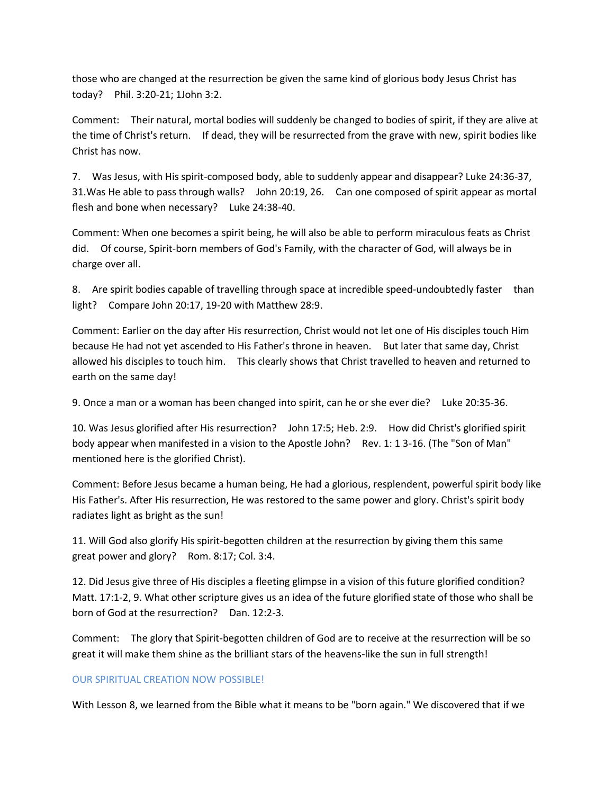those who are changed at the resurrection be given the same kind of glorious body Jesus Christ has today? Phil. 3:20-21; 1John 3:2.

Comment: Their natural, mortal bodies will suddenly be changed to bodies of spirit, if they are alive at the time of Christ's return. If dead, they will be resurrected from the grave with new, spirit bodies like Christ has now.

7. Was Jesus, with His spirit-composed body, able to suddenly appear and disappear? Luke 24:36-37, 31.Was He able to pass through walls? John 20:19, 26. Can one composed of spirit appear as mortal flesh and bone when necessary? Luke 24:38-40.

Comment: When one becomes a spirit being, he will also be able to perform miraculous feats as Christ did. Of course, Spirit-born members of God's Family, with the character of God, will always be in charge over all.

8. Are spirit bodies capable of travelling through space at incredible speed-undoubtedly faster than light? Compare John 20:17, 19-20 with Matthew 28:9.

Comment: Earlier on the day after His resurrection, Christ would not let one of His disciples touch Him because He had not yet ascended to His Father's throne in heaven. But later that same day, Christ allowed his disciples to touch him. This clearly shows that Christ travelled to heaven and returned to earth on the same day!

9. Once a man or a woman has been changed into spirit, can he or she ever die? Luke 20:35-36.

10. Was Jesus glorified after His resurrection? John 17:5; Heb. 2:9. How did Christ's glorified spirit body appear when manifested in a vision to the Apostle John? Rev. 1: 1 3-16. (The "Son of Man" mentioned here is the glorified Christ).

Comment: Before Jesus became a human being, He had a glorious, resplendent, powerful spirit body like His Father's. After His resurrection, He was restored to the same power and glory. Christ's spirit body radiates light as bright as the sun!

11. Will God also glorify His spirit-begotten children at the resurrection by giving them this same great power and glory? Rom. 8:17; Col. 3:4.

12. Did Jesus give three of His disciples a fleeting glimpse in a vision of this future glorified condition? Matt. 17:1-2, 9. What other scripture gives us an idea of the future glorified state of those who shall be born of God at the resurrection? Dan. 12:2-3.

Comment: The glory that Spirit-begotten children of God are to receive at the resurrection will be so great it will make them shine as the brilliant stars of the heavens-like the sun in full strength!

### OUR SPIRITUAL CREATION NOW POSSIBLE!

With Lesson 8, we learned from the Bible what it means to be "born again." We discovered that if we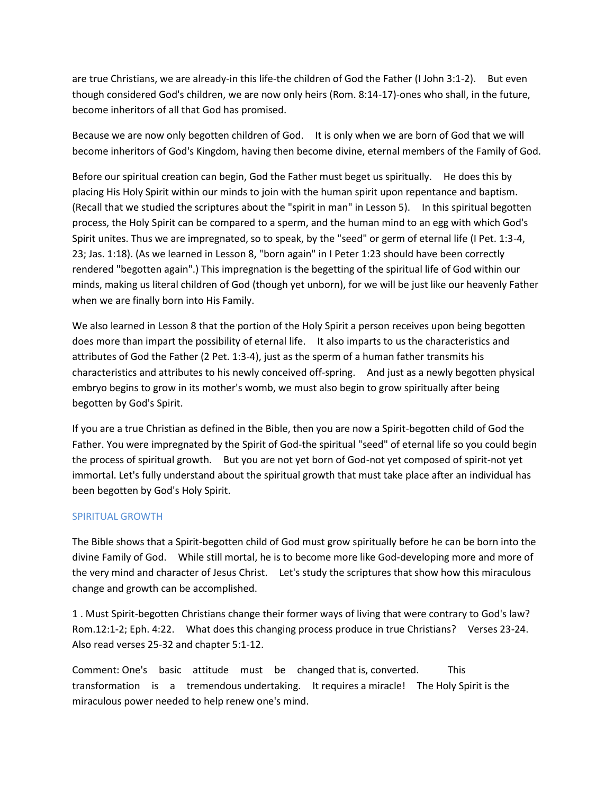are true Christians, we are already-in this life-the children of God the Father (I John 3:1-2). But even though considered God's children, we are now only heirs (Rom. 8:14-17)-ones who shall, in the future, become inheritors of all that God has promised.

Because we are now only begotten children of God. It is only when we are born of God that we will become inheritors of God's Kingdom, having then become divine, eternal members of the Family of God.

Before our spiritual creation can begin, God the Father must beget us spiritually. He does this by placing His Holy Spirit within our minds to join with the human spirit upon repentance and baptism. (Recall that we studied the scriptures about the "spirit in man" in Lesson 5). In this spiritual begotten process, the Holy Spirit can be compared to a sperm, and the human mind to an egg with which God's Spirit unites. Thus we are impregnated, so to speak, by the "seed" or germ of eternal life (I Pet. 1:3-4, 23; Jas. 1:18). (As we learned in Lesson 8, "born again" in I Peter 1:23 should have been correctly rendered "begotten again".) This impregnation is the begetting of the spiritual life of God within our minds, making us literal children of God (though yet unborn), for we will be just like our heavenly Father when we are finally born into His Family.

We also learned in Lesson 8 that the portion of the Holy Spirit a person receives upon being begotten does more than impart the possibility of eternal life. It also imparts to us the characteristics and attributes of God the Father (2 Pet. 1:3-4), just as the sperm of a human father transmits his characteristics and attributes to his newly conceived off-spring. And just as a newly begotten physical embryo begins to grow in its mother's womb, we must also begin to grow spiritually after being begotten by God's Spirit.

If you are a true Christian as defined in the Bible, then you are now a Spirit-begotten child of God the Father. You were impregnated by the Spirit of God-the spiritual "seed" of eternal life so you could begin the process of spiritual growth. But you are not yet born of God-not yet composed of spirit-not yet immortal. Let's fully understand about the spiritual growth that must take place after an individual has been begotten by God's Holy Spirit.

### SPIRITUAL GROWTH

The Bible shows that a Spirit-begotten child of God must grow spiritually before he can be born into the divine Family of God. While still mortal, he is to become more like God-developing more and more of the very mind and character of Jesus Christ. Let's study the scriptures that show how this miraculous change and growth can be accomplished.

1 . Must Spirit-begotten Christians change their former ways of living that were contrary to God's law? Rom.12:1-2; Eph. 4:22. What does this changing process produce in true Christians? Verses 23-24. Also read verses 25-32 and chapter 5:1-12.

Comment: One's basic attitude must be changed that is, converted. This transformation is a tremendous undertaking. It requires a miracle! The Holy Spirit is the miraculous power needed to help renew one's mind.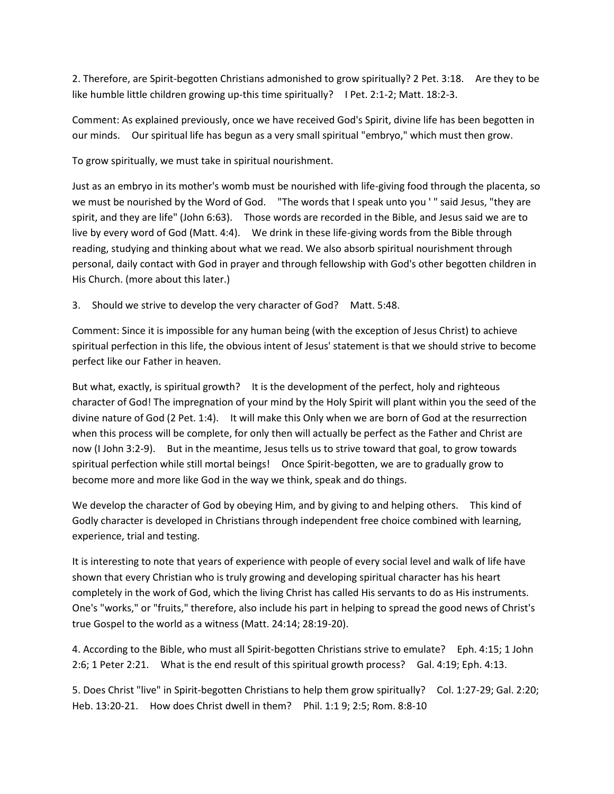2. Therefore, are Spirit-begotten Christians admonished to grow spiritually? 2 Pet. 3:18. Are they to be like humble little children growing up-this time spiritually? I Pet. 2:1-2; Matt. 18:2-3.

Comment: As explained previously, once we have received God's Spirit, divine life has been begotten in our minds. Our spiritual life has begun as a very small spiritual "embryo," which must then grow.

To grow spiritually, we must take in spiritual nourishment.

Just as an embryo in its mother's womb must be nourished with life-giving food through the placenta, so we must be nourished by the Word of God. "The words that I speak unto you ' " said Jesus, "they are spirit, and they are life" (John 6:63). Those words are recorded in the Bible, and Jesus said we are to live by every word of God (Matt. 4:4). We drink in these life-giving words from the Bible through reading, studying and thinking about what we read. We also absorb spiritual nourishment through personal, daily contact with God in prayer and through fellowship with God's other begotten children in His Church. (more about this later.)

3. Should we strive to develop the very character of God? Matt. 5:48.

Comment: Since it is impossible for any human being (with the exception of Jesus Christ) to achieve spiritual perfection in this life, the obvious intent of Jesus' statement is that we should strive to become perfect like our Father in heaven.

But what, exactly, is spiritual growth? It is the development of the perfect, holy and righteous character of God! The impregnation of your mind by the Holy Spirit will plant within you the seed of the divine nature of God (2 Pet. 1:4). It will make this Only when we are born of God at the resurrection when this process will be complete, for only then will actually be perfect as the Father and Christ are now (I John 3:2-9). But in the meantime, Jesus tells us to strive toward that goal, to grow towards spiritual perfection while still mortal beings! Once Spirit-begotten, we are to gradually grow to become more and more like God in the way we think, speak and do things.

We develop the character of God by obeying Him, and by giving to and helping others. This kind of Godly character is developed in Christians through independent free choice combined with learning, experience, trial and testing.

It is interesting to note that years of experience with people of every social level and walk of life have shown that every Christian who is truly growing and developing spiritual character has his heart completely in the work of God, which the living Christ has called His servants to do as His instruments. One's "works," or "fruits," therefore, also include his part in helping to spread the good news of Christ's true Gospel to the world as a witness (Matt. 24:14; 28:19-20).

4. According to the Bible, who must all Spirit-begotten Christians strive to emulate? Eph. 4:15; 1 John 2:6; 1 Peter 2:21. What is the end result of this spiritual growth process? Gal. 4:19; Eph. 4:13.

5. Does Christ "live" in Spirit-begotten Christians to help them grow spiritually? Col. 1:27-29; Gal. 2:20; Heb. 13:20-21. How does Christ dwell in them? Phil. 1:1 9; 2:5; Rom. 8:8-10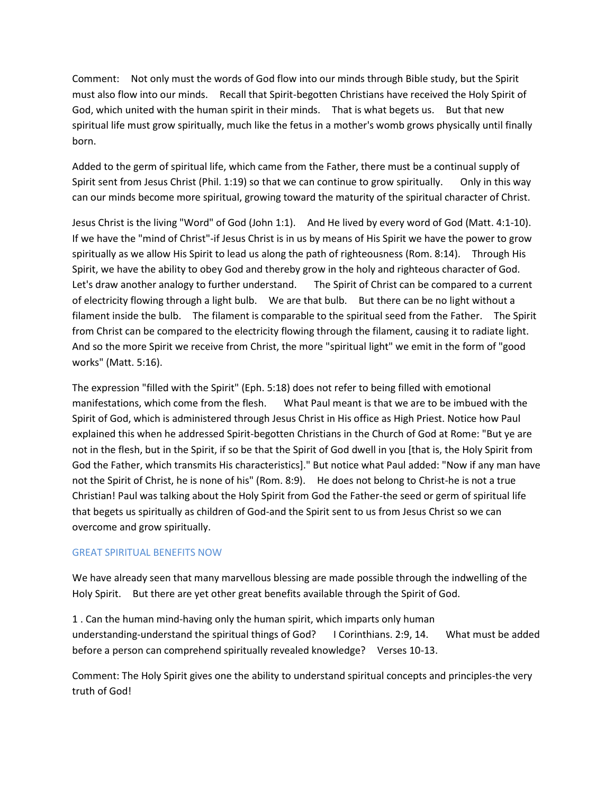Comment: Not only must the words of God flow into our minds through Bible study, but the Spirit must also flow into our minds. Recall that Spirit-begotten Christians have received the Holy Spirit of God, which united with the human spirit in their minds. That is what begets us. But that new spiritual life must grow spiritually, much like the fetus in a mother's womb grows physically until finally born.

Added to the germ of spiritual life, which came from the Father, there must be a continual supply of Spirit sent from Jesus Christ (Phil. 1:19) so that we can continue to grow spiritually. Only in this way can our minds become more spiritual, growing toward the maturity of the spiritual character of Christ.

Jesus Christ is the living "Word" of God (John 1:1). And He lived by every word of God (Matt. 4:1-10). If we have the "mind of Christ"-if Jesus Christ is in us by means of His Spirit we have the power to grow spiritually as we allow His Spirit to lead us along the path of righteousness (Rom. 8:14). Through His Spirit, we have the ability to obey God and thereby grow in the holy and righteous character of God. Let's draw another analogy to further understand. The Spirit of Christ can be compared to a current of electricity flowing through a light bulb. We are that bulb. But there can be no light without a filament inside the bulb. The filament is comparable to the spiritual seed from the Father. The Spirit from Christ can be compared to the electricity flowing through the filament, causing it to radiate light. And so the more Spirit we receive from Christ, the more "spiritual light" we emit in the form of "good works" (Matt. 5:16).

The expression "filled with the Spirit" (Eph. 5:18) does not refer to being filled with emotional manifestations, which come from the flesh. What Paul meant is that we are to be imbued with the Spirit of God, which is administered through Jesus Christ in His office as High Priest. Notice how Paul explained this when he addressed Spirit-begotten Christians in the Church of God at Rome: "But ye are not in the flesh, but in the Spirit, if so be that the Spirit of God dwell in you [that is, the Holy Spirit from God the Father, which transmits His characteristics]." But notice what Paul added: "Now if any man have not the Spirit of Christ, he is none of his" (Rom. 8:9). He does not belong to Christ-he is not a true Christian! Paul was talking about the Holy Spirit from God the Father-the seed or germ of spiritual life that begets us spiritually as children of God-and the Spirit sent to us from Jesus Christ so we can overcome and grow spiritually.

### GREAT SPIRITUAL BENEFITS NOW

We have already seen that many marvellous blessing are made possible through the indwelling of the Holy Spirit. But there are yet other great benefits available through the Spirit of God.

1 . Can the human mind-having only the human spirit, which imparts only human understanding-understand the spiritual things of God? I Corinthians. 2:9, 14. What must be added before a person can comprehend spiritually revealed knowledge? Verses 10-13.

Comment: The Holy Spirit gives one the ability to understand spiritual concepts and principles-the very truth of God!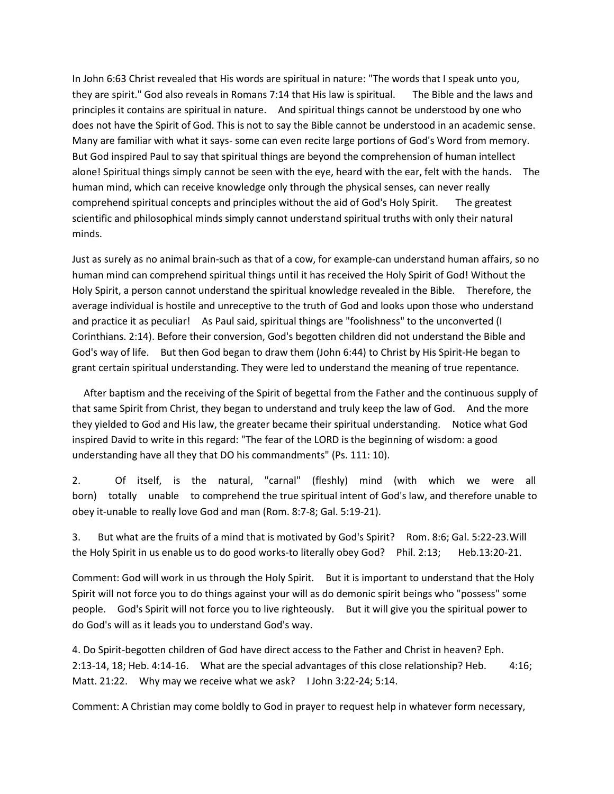In John 6:63 Christ revealed that His words are spiritual in nature: "The words that I speak unto you, they are spirit." God also reveals in Romans 7:14 that His law is spiritual. The Bible and the laws and principles it contains are spiritual in nature. And spiritual things cannot be understood by one who does not have the Spirit of God. This is not to say the Bible cannot be understood in an academic sense. Many are familiar with what it says- some can even recite large portions of God's Word from memory. But God inspired Paul to say that spiritual things are beyond the comprehension of human intellect alone! Spiritual things simply cannot be seen with the eye, heard with the ear, felt with the hands. The human mind, which can receive knowledge only through the physical senses, can never really comprehend spiritual concepts and principles without the aid of God's Holy Spirit. The greatest scientific and philosophical minds simply cannot understand spiritual truths with only their natural minds.

Just as surely as no animal brain-such as that of a cow, for example-can understand human affairs, so no human mind can comprehend spiritual things until it has received the Holy Spirit of God! Without the Holy Spirit, a person cannot understand the spiritual knowledge revealed in the Bible. Therefore, the average individual is hostile and unreceptive to the truth of God and looks upon those who understand and practice it as peculiar! As Paul said, spiritual things are "foolishness" to the unconverted (I Corinthians. 2:14). Before their conversion, God's begotten children did not understand the Bible and God's way of life. But then God began to draw them (John 6:44) to Christ by His Spirit-He began to grant certain spiritual understanding. They were led to understand the meaning of true repentance.

 After baptism and the receiving of the Spirit of begettal from the Father and the continuous supply of that same Spirit from Christ, they began to understand and truly keep the law of God. And the more they yielded to God and His law, the greater became their spiritual understanding. Notice what God inspired David to write in this regard: "The fear of the LORD is the beginning of wisdom: a good understanding have all they that DO his commandments" (Ps. 111: 10).

2. Of itself, is the natural, "carnal" (fleshly) mind (with which we were all born) totally unable to comprehend the true spiritual intent of God's law, and therefore unable to obey it-unable to really love God and man (Rom. 8:7-8; Gal. 5:19-21).

3. But what are the fruits of a mind that is motivated by God's Spirit? Rom. 8:6; Gal. 5:22-23.Will the Holy Spirit in us enable us to do good works-to literally obey God? Phil. 2:13; Heb.13:20-21.

Comment: God will work in us through the Holy Spirit. But it is important to understand that the Holy Spirit will not force you to do things against your will as do demonic spirit beings who "possess" some people. God's Spirit will not force you to live righteously. But it will give you the spiritual power to do God's will as it leads you to understand God's way.

4. Do Spirit-begotten children of God have direct access to the Father and Christ in heaven? Eph. 2:13-14, 18; Heb. 4:14-16. What are the special advantages of this close relationship? Heb. 4:16; Matt. 21:22. Why may we receive what we ask? I John 3:22-24; 5:14.

Comment: A Christian may come boldly to God in prayer to request help in whatever form necessary,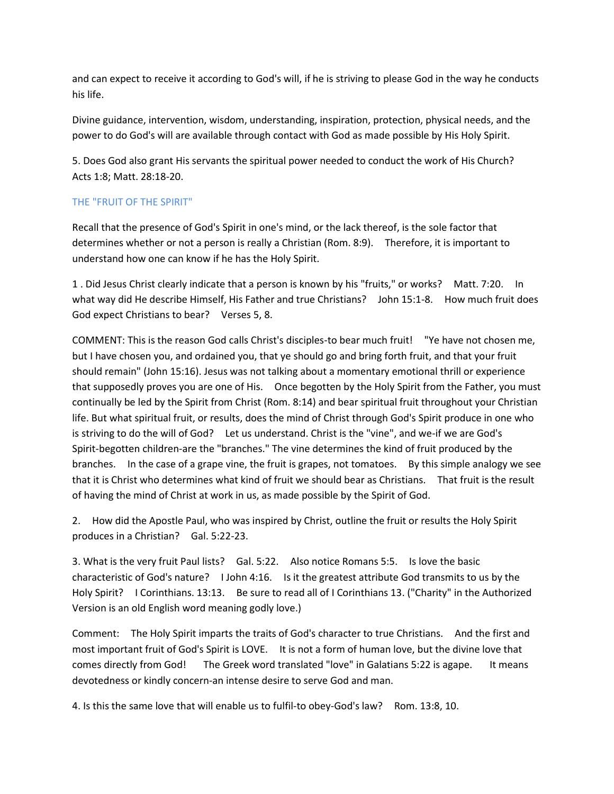and can expect to receive it according to God's will, if he is striving to please God in the way he conducts his life.

Divine guidance, intervention, wisdom, understanding, inspiration, protection, physical needs, and the power to do God's will are available through contact with God as made possible by His Holy Spirit.

5. Does God also grant His servants the spiritual power needed to conduct the work of His Church? Acts 1:8; Matt. 28:18-20.

# THE "FRUIT OF THE SPIRIT"

Recall that the presence of God's Spirit in one's mind, or the lack thereof, is the sole factor that determines whether or not a person is really a Christian (Rom. 8:9). Therefore, it is important to understand how one can know if he has the Holy Spirit.

1 . Did Jesus Christ clearly indicate that a person is known by his "fruits," or works? Matt. 7:20. In what way did He describe Himself, His Father and true Christians? John 15:1-8. How much fruit does God expect Christians to bear? Verses 5, 8.

COMMENT: This is the reason God calls Christ's disciples-to bear much fruit! "Ye have not chosen me, but I have chosen you, and ordained you, that ye should go and bring forth fruit, and that your fruit should remain" (John 15:16). Jesus was not talking about a momentary emotional thrill or experience that supposedly proves you are one of His. Once begotten by the Holy Spirit from the Father, you must continually be led by the Spirit from Christ (Rom. 8:14) and bear spiritual fruit throughout your Christian life. But what spiritual fruit, or results, does the mind of Christ through God's Spirit produce in one who is striving to do the will of God? Let us understand. Christ is the "vine", and we-if we are God's Spirit-begotten children-are the "branches." The vine determines the kind of fruit produced by the branches. In the case of a grape vine, the fruit is grapes, not tomatoes. By this simple analogy we see that it is Christ who determines what kind of fruit we should bear as Christians. That fruit is the result of having the mind of Christ at work in us, as made possible by the Spirit of God.

2. How did the Apostle Paul, who was inspired by Christ, outline the fruit or results the Holy Spirit produces in a Christian? Gal. 5:22-23.

3. What is the very fruit Paul lists? Gal. 5:22. Also notice Romans 5:5. Is love the basic characteristic of God's nature? I John 4:16. Is it the greatest attribute God transmits to us by the Holy Spirit? I Corinthians. 13:13. Be sure to read all of I Corinthians 13. ("Charity" in the Authorized Version is an old English word meaning godly love.)

Comment: The Holy Spirit imparts the traits of God's character to true Christians. And the first and most important fruit of God's Spirit is LOVE. It is not a form of human love, but the divine love that comes directly from God! The Greek word translated "love" in Galatians 5:22 is agape. It means devotedness or kindly concern-an intense desire to serve God and man.

4. Is this the same love that will enable us to fulfil-to obey-God's law? Rom. 13:8, 10.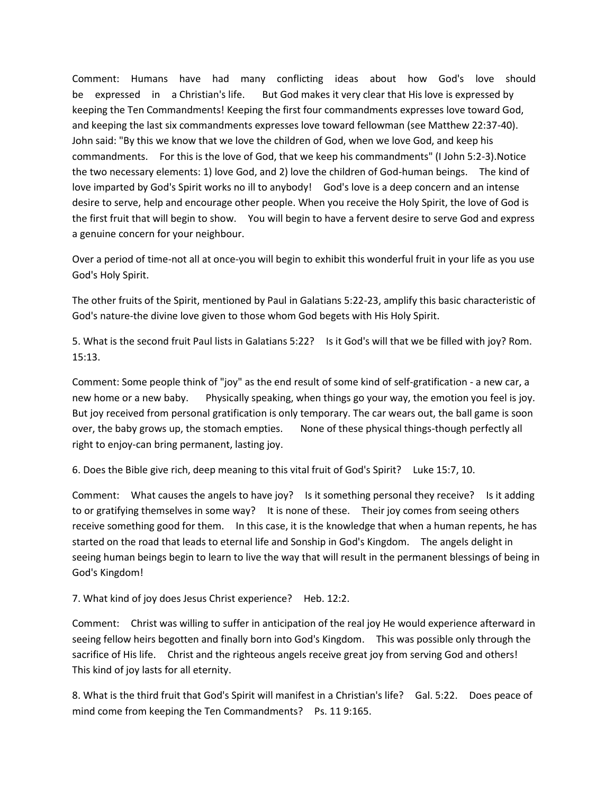Comment: Humans have had many conflicting ideas about how God's love should be expressed in a Christian's life. But God makes it very clear that His love is expressed by keeping the Ten Commandments! Keeping the first four commandments expresses love toward God, and keeping the last six commandments expresses love toward fellowman (see Matthew 22:37-40). John said: "By this we know that we love the children of God, when we love God, and keep his commandments. For this is the love of God, that we keep his commandments" (I John 5:2-3).Notice the two necessary elements: 1) love God, and 2) love the children of God-human beings. The kind of love imparted by God's Spirit works no ill to anybody! God's love is a deep concern and an intense desire to serve, help and encourage other people. When you receive the Holy Spirit, the love of God is the first fruit that will begin to show. You will begin to have a fervent desire to serve God and express a genuine concern for your neighbour.

Over a period of time-not all at once-you will begin to exhibit this wonderful fruit in your life as you use God's Holy Spirit.

The other fruits of the Spirit, mentioned by Paul in Galatians 5:22-23, amplify this basic characteristic of God's nature-the divine love given to those whom God begets with His Holy Spirit.

5. What is the second fruit Paul lists in Galatians 5:22? Is it God's will that we be filled with joy? Rom. 15:13.

Comment: Some people think of "joy" as the end result of some kind of self-gratification - a new car, a new home or a new baby. Physically speaking, when things go your way, the emotion you feel is joy. But joy received from personal gratification is only temporary. The car wears out, the ball game is soon over, the baby grows up, the stomach empties. None of these physical things-though perfectly all right to enjoy-can bring permanent, lasting joy.

6. Does the Bible give rich, deep meaning to this vital fruit of God's Spirit? Luke 15:7, 10.

Comment: What causes the angels to have joy? Is it something personal they receive? Is it adding to or gratifying themselves in some way? It is none of these. Their joy comes from seeing others receive something good for them. In this case, it is the knowledge that when a human repents, he has started on the road that leads to eternal life and Sonship in God's Kingdom. The angels delight in seeing human beings begin to learn to live the way that will result in the permanent blessings of being in God's Kingdom!

7. What kind of joy does Jesus Christ experience? Heb. 12:2.

Comment: Christ was willing to suffer in anticipation of the real joy He would experience afterward in seeing fellow heirs begotten and finally born into God's Kingdom. This was possible only through the sacrifice of His life. Christ and the righteous angels receive great joy from serving God and others! This kind of joy lasts for all eternity.

8. What is the third fruit that God's Spirit will manifest in a Christian's life? Gal. 5:22. Does peace of mind come from keeping the Ten Commandments? Ps. 11 9:165.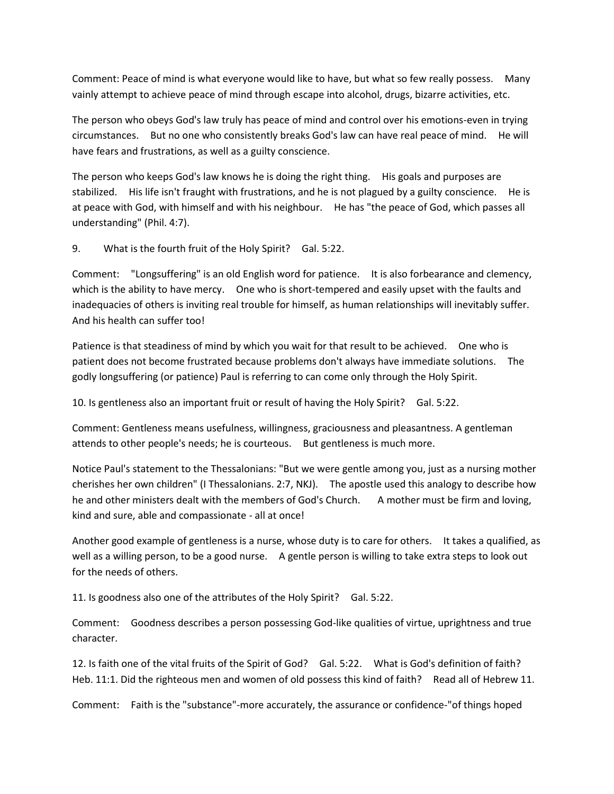Comment: Peace of mind is what everyone would like to have, but what so few really possess. Many vainly attempt to achieve peace of mind through escape into alcohol, drugs, bizarre activities, etc.

The person who obeys God's law truly has peace of mind and control over his emotions-even in trying circumstances. But no one who consistently breaks God's law can have real peace of mind. He will have fears and frustrations, as well as a guilty conscience.

The person who keeps God's law knows he is doing the right thing. His goals and purposes are stabilized. His life isn't fraught with frustrations, and he is not plagued by a guilty conscience. He is at peace with God, with himself and with his neighbour. He has "the peace of God, which passes all understanding" (Phil. 4:7).

9. What is the fourth fruit of the Holy Spirit? Gal. 5:22.

Comment: "Longsuffering" is an old English word for patience. It is also forbearance and clemency, which is the ability to have mercy. One who is short-tempered and easily upset with the faults and inadequacies of others is inviting real trouble for himself, as human relationships will inevitably suffer. And his health can suffer too!

Patience is that steadiness of mind by which you wait for that result to be achieved. One who is patient does not become frustrated because problems don't always have immediate solutions. The godly longsuffering (or patience) Paul is referring to can come only through the Holy Spirit.

10. Is gentleness also an important fruit or result of having the Holy Spirit? Gal. 5:22.

Comment: Gentleness means usefulness, willingness, graciousness and pleasantness. A gentleman attends to other people's needs; he is courteous. But gentleness is much more.

Notice Paul's statement to the Thessalonians: "But we were gentle among you, just as a nursing mother cherishes her own children" (I Thessalonians. 2:7, NKJ). The apostle used this analogy to describe how he and other ministers dealt with the members of God's Church. A mother must be firm and loving, kind and sure, able and compassionate - all at once!

Another good example of gentleness is a nurse, whose duty is to care for others. It takes a qualified, as well as a willing person, to be a good nurse. A gentle person is willing to take extra steps to look out for the needs of others.

11. Is goodness also one of the attributes of the Holy Spirit? Gal. 5:22.

Comment: Goodness describes a person possessing God-like qualities of virtue, uprightness and true character.

12. Is faith one of the vital fruits of the Spirit of God? Gal. 5:22. What is God's definition of faith? Heb. 11:1. Did the righteous men and women of old possess this kind of faith? Read all of Hebrew 11.

Comment: Faith is the "substance"-more accurately, the assurance or confidence-"of things hoped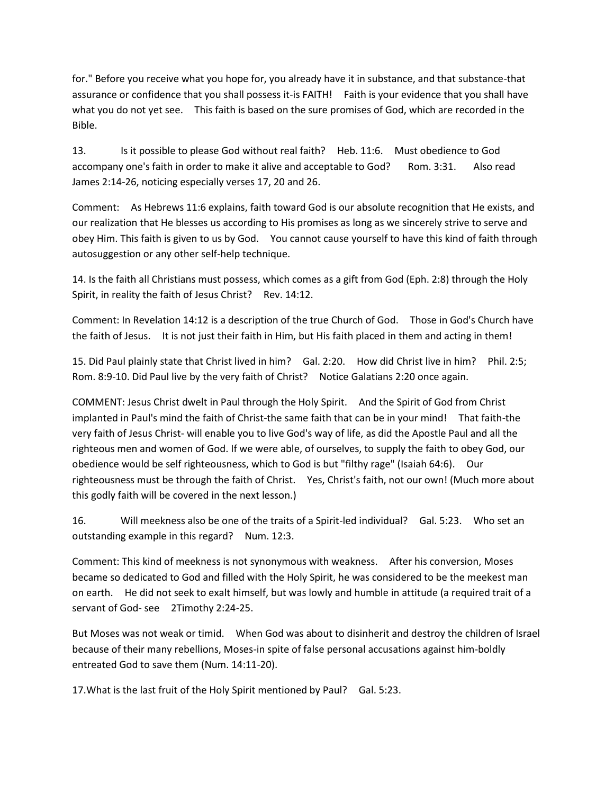for." Before you receive what you hope for, you already have it in substance, and that substance-that assurance or confidence that you shall possess it-is FAITH! Faith is your evidence that you shall have what you do not yet see. This faith is based on the sure promises of God, which are recorded in the Bible.

13. Is it possible to please God without real faith? Heb. 11:6. Must obedience to God accompany one's faith in order to make it alive and acceptable to God? Rom. 3:31. Also read James 2:14-26, noticing especially verses 17, 20 and 26.

Comment: As Hebrews 11:6 explains, faith toward God is our absolute recognition that He exists, and our realization that He blesses us according to His promises as long as we sincerely strive to serve and obey Him. This faith is given to us by God. You cannot cause yourself to have this kind of faith through autosuggestion or any other self-help technique.

14. Is the faith all Christians must possess, which comes as a gift from God (Eph. 2:8) through the Holy Spirit, in reality the faith of Jesus Christ? Rev. 14:12.

Comment: In Revelation 14:12 is a description of the true Church of God. Those in God's Church have the faith of Jesus. It is not just their faith in Him, but His faith placed in them and acting in them!

15. Did Paul plainly state that Christ lived in him? Gal. 2:20. How did Christ live in him? Phil. 2:5; Rom. 8:9-10. Did Paul live by the very faith of Christ? Notice Galatians 2:20 once again.

COMMENT: Jesus Christ dwelt in Paul through the Holy Spirit. And the Spirit of God from Christ implanted in Paul's mind the faith of Christ-the same faith that can be in your mind! That faith-the very faith of Jesus Christ- will enable you to live God's way of life, as did the Apostle Paul and all the righteous men and women of God. If we were able, of ourselves, to supply the faith to obey God, our obedience would be self righteousness, which to God is but "filthy rage" (Isaiah 64:6). Our righteousness must be through the faith of Christ. Yes, Christ's faith, not our own! (Much more about this godly faith will be covered in the next lesson.)

16. Will meekness also be one of the traits of a Spirit-led individual? Gal. 5:23. Who set an outstanding example in this regard? Num. 12:3.

Comment: This kind of meekness is not synonymous with weakness. After his conversion, Moses became so dedicated to God and filled with the Holy Spirit, he was considered to be the meekest man on earth. He did not seek to exalt himself, but was lowly and humble in attitude (a required trait of a servant of God- see 2Timothy 2:24-25.

But Moses was not weak or timid. When God was about to disinherit and destroy the children of Israel because of their many rebellions, Moses-in spite of false personal accusations against him-boldly entreated God to save them (Num. 14:11-20).

17.What is the last fruit of the Holy Spirit mentioned by Paul? Gal. 5:23.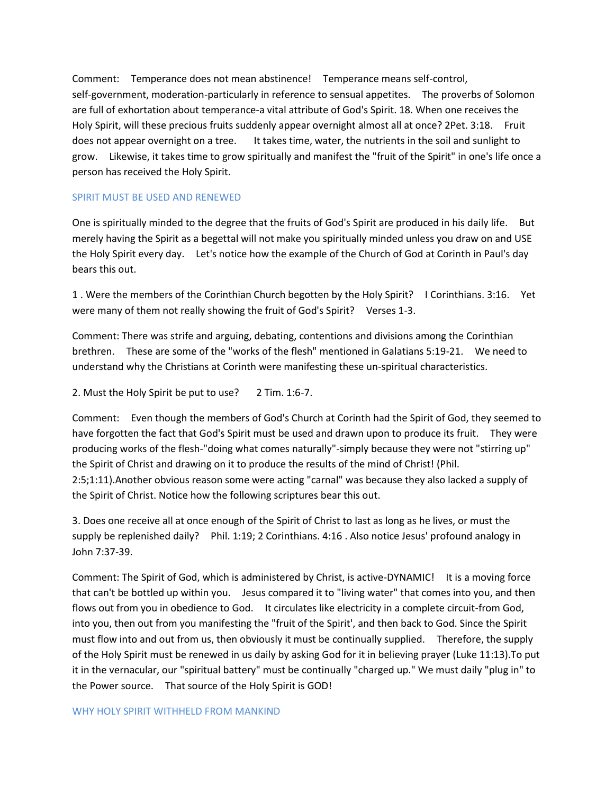Comment: Temperance does not mean abstinence! Temperance means self-control, self-government, moderation-particularly in reference to sensual appetites. The proverbs of Solomon are full of exhortation about temperance-a vital attribute of God's Spirit. 18. When one receives the Holy Spirit, will these precious fruits suddenly appear overnight almost all at once? 2Pet. 3:18. Fruit does not appear overnight on a tree. It takes time, water, the nutrients in the soil and sunlight to grow. Likewise, it takes time to grow spiritually and manifest the "fruit of the Spirit" in one's life once a person has received the Holy Spirit.

### SPIRIT MUST BE USED AND RENEWED

One is spiritually minded to the degree that the fruits of God's Spirit are produced in his daily life. But merely having the Spirit as a begettal will not make you spiritually minded unless you draw on and USE the Holy Spirit every day. Let's notice how the example of the Church of God at Corinth in Paul's day bears this out.

1 . Were the members of the Corinthian Church begotten by the Holy Spirit? I Corinthians. 3:16. Yet were many of them not really showing the fruit of God's Spirit? Verses 1-3.

Comment: There was strife and arguing, debating, contentions and divisions among the Corinthian brethren. These are some of the "works of the flesh" mentioned in Galatians 5:19-21. We need to understand why the Christians at Corinth were manifesting these un-spiritual characteristics.

2. Must the Holy Spirit be put to use? 2 Tim. 1:6-7.

Comment: Even though the members of God's Church at Corinth had the Spirit of God, they seemed to have forgotten the fact that God's Spirit must be used and drawn upon to produce its fruit. They were producing works of the flesh-"doing what comes naturally"-simply because they were not "stirring up" the Spirit of Christ and drawing on it to produce the results of the mind of Christ! (Phil. 2:5;1:11).Another obvious reason some were acting "carnal" was because they also lacked a supply of the Spirit of Christ. Notice how the following scriptures bear this out.

3. Does one receive all at once enough of the Spirit of Christ to last as long as he lives, or must the supply be replenished daily? Phil. 1:19; 2 Corinthians. 4:16 . Also notice Jesus' profound analogy in John 7:37-39.

Comment: The Spirit of God, which is administered by Christ, is active-DYNAMIC! It is a moving force that can't be bottled up within you. Jesus compared it to "living water" that comes into you, and then flows out from you in obedience to God. It circulates like electricity in a complete circuit-from God, into you, then out from you manifesting the "fruit of the Spirit', and then back to God. Since the Spirit must flow into and out from us, then obviously it must be continually supplied. Therefore, the supply of the Holy Spirit must be renewed in us daily by asking God for it in believing prayer (Luke 11:13).To put it in the vernacular, our "spiritual battery" must be continually "charged up." We must daily "plug in" to the Power source. That source of the Holy Spirit is GOD!

#### WHY HOLY SPIRIT WITHHELD FROM MANKIND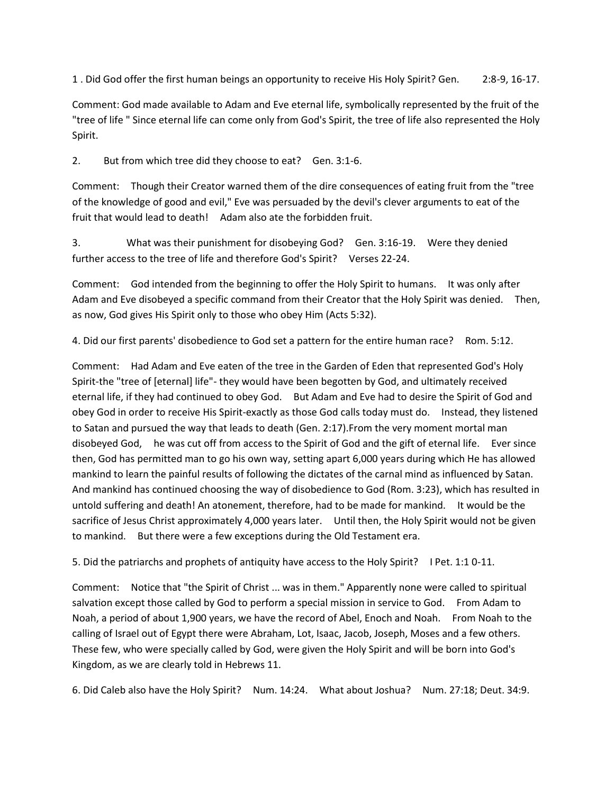1 . Did God offer the first human beings an opportunity to receive His Holy Spirit? Gen. 2:8-9, 16-17.

Comment: God made available to Adam and Eve eternal life, symbolically represented by the fruit of the "tree of life " Since eternal life can come only from God's Spirit, the tree of life also represented the Holy Spirit.

2. But from which tree did they choose to eat? Gen. 3:1-6.

Comment: Though their Creator warned them of the dire consequences of eating fruit from the "tree of the knowledge of good and evil," Eve was persuaded by the devil's clever arguments to eat of the fruit that would lead to death! Adam also ate the forbidden fruit.

3. What was their punishment for disobeying God? Gen. 3:16-19. Were they denied further access to the tree of life and therefore God's Spirit? Verses 22-24.

Comment: God intended from the beginning to offer the Holy Spirit to humans. It was only after Adam and Eve disobeyed a specific command from their Creator that the Holy Spirit was denied. Then, as now, God gives His Spirit only to those who obey Him (Acts 5:32).

4. Did our first parents' disobedience to God set a pattern for the entire human race? Rom. 5:12.

Comment: Had Adam and Eve eaten of the tree in the Garden of Eden that represented God's Holy Spirit-the "tree of [eternal] life"- they would have been begotten by God, and ultimately received eternal life, if they had continued to obey God. But Adam and Eve had to desire the Spirit of God and obey God in order to receive His Spirit-exactly as those God calls today must do. Instead, they listened to Satan and pursued the way that leads to death (Gen. 2:17).From the very moment mortal man disobeyed God, he was cut off from access to the Spirit of God and the gift of eternal life. Ever since then, God has permitted man to go his own way, setting apart 6,000 years during which He has allowed mankind to learn the painful results of following the dictates of the carnal mind as influenced by Satan. And mankind has continued choosing the way of disobedience to God (Rom. 3:23), which has resulted in untold suffering and death! An atonement, therefore, had to be made for mankind. It would be the sacrifice of Jesus Christ approximately 4,000 years later. Until then, the Holy Spirit would not be given to mankind. But there were a few exceptions during the Old Testament era.

5. Did the patriarchs and prophets of antiquity have access to the Holy Spirit? I Pet. 1:1 0-11.

Comment: Notice that "the Spirit of Christ ... was in them." Apparently none were called to spiritual salvation except those called by God to perform a special mission in service to God. From Adam to Noah, a period of about 1,900 years, we have the record of Abel, Enoch and Noah. From Noah to the calling of Israel out of Egypt there were Abraham, Lot, Isaac, Jacob, Joseph, Moses and a few others. These few, who were specially called by God, were given the Holy Spirit and will be born into God's Kingdom, as we are clearly told in Hebrews 11.

6. Did Caleb also have the Holy Spirit? Num. 14:24. What about Joshua? Num. 27:18; Deut. 34:9.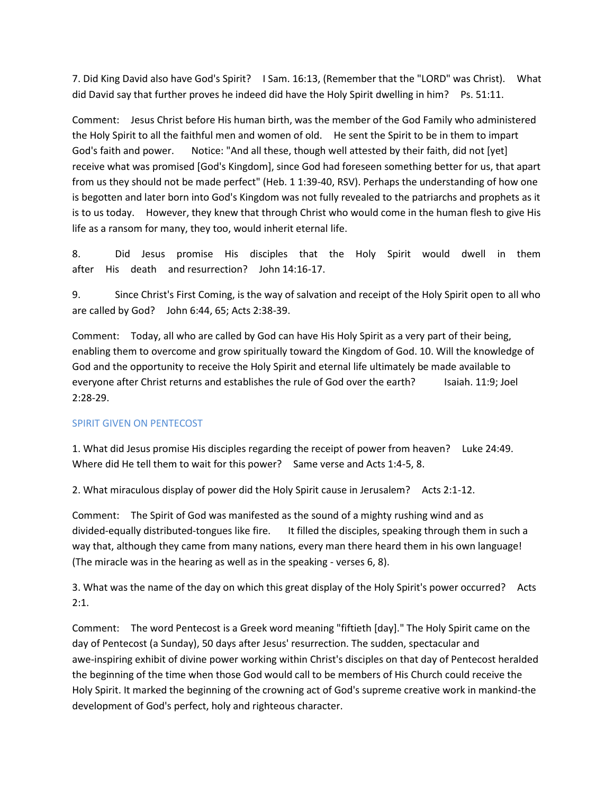7. Did King David also have God's Spirit? I Sam. 16:13, (Remember that the "LORD" was Christ). What did David say that further proves he indeed did have the Holy Spirit dwelling in him? Ps. 51:11.

Comment: Jesus Christ before His human birth, was the member of the God Family who administered the Holy Spirit to all the faithful men and women of old. He sent the Spirit to be in them to impart God's faith and power. Notice: "And all these, though well attested by their faith, did not [yet] receive what was promised [God's Kingdom], since God had foreseen something better for us, that apart from us they should not be made perfect" (Heb. 1 1:39-40, RSV). Perhaps the understanding of how one is begotten and later born into God's Kingdom was not fully revealed to the patriarchs and prophets as it is to us today. However, they knew that through Christ who would come in the human flesh to give His life as a ransom for many, they too, would inherit eternal life.

8. Did Jesus promise His disciples that the Holy Spirit would dwell in them after His death and resurrection? John 14:16-17.

9. Since Christ's First Coming, is the way of salvation and receipt of the Holy Spirit open to all who are called by God? John 6:44, 65; Acts 2:38-39.

Comment: Today, all who are called by God can have His Holy Spirit as a very part of their being, enabling them to overcome and grow spiritually toward the Kingdom of God. 10. Will the knowledge of God and the opportunity to receive the Holy Spirit and eternal life ultimately be made available to everyone after Christ returns and establishes the rule of God over the earth? Isaiah. 11:9; Joel 2:28-29.

# SPIRIT GIVEN ON PENTECOST

1. What did Jesus promise His disciples regarding the receipt of power from heaven? Luke 24:49. Where did He tell them to wait for this power? Same verse and Acts 1:4-5, 8.

2. What miraculous display of power did the Holy Spirit cause in Jerusalem? Acts 2:1-12.

Comment: The Spirit of God was manifested as the sound of a mighty rushing wind and as divided-equally distributed-tongues like fire. It filled the disciples, speaking through them in such a way that, although they came from many nations, every man there heard them in his own language! (The miracle was in the hearing as well as in the speaking - verses 6, 8).

3. What was the name of the day on which this great display of the Holy Spirit's power occurred? Acts  $2:1.$ 

Comment: The word Pentecost is a Greek word meaning "fiftieth [day]." The Holy Spirit came on the day of Pentecost (a Sunday), 50 days after Jesus' resurrection. The sudden, spectacular and awe-inspiring exhibit of divine power working within Christ's disciples on that day of Pentecost heralded the beginning of the time when those God would call to be members of His Church could receive the Holy Spirit. It marked the beginning of the crowning act of God's supreme creative work in mankind-the development of God's perfect, holy and righteous character.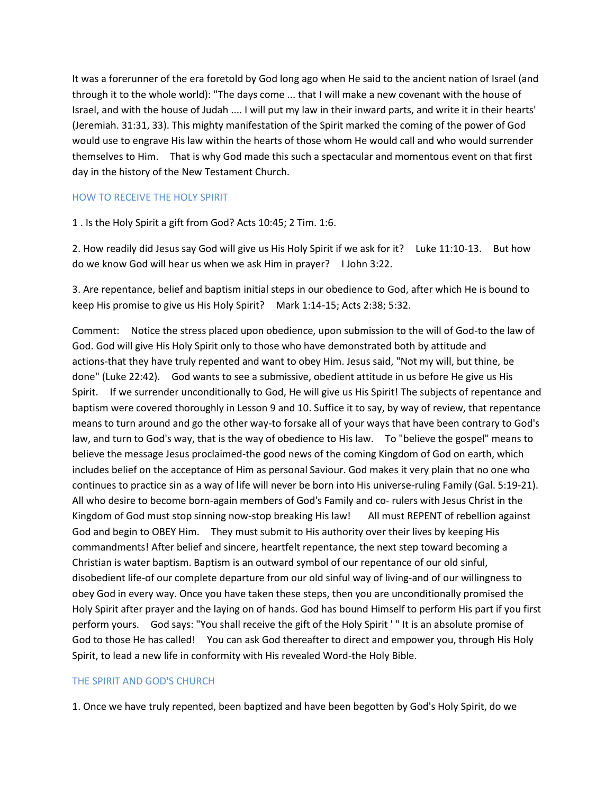It was a forerunner of the era foretold by God long ago when He said to the ancient nation of Israel (and through it to the whole world): "The days come ... that I will make a new covenant with the house of Israel, and with the house of Judah .... I will put my law in their inward parts, and write it in their hearts' (Jeremiah. 31:31, 33). This mighty manifestation of the Spirit marked the coming of the power of God would use to engrave His law within the hearts of those whom He would call and who would surrender themselves to Him. That is why God made this such a spectacular and momentous event on that first day in the history of the New Testament Church.

#### HOW TO RECEIVE THE HOLY SPIRIT

1 . Is the Holy Spirit a gift from God? Acts 10:45; 2 Tim. 1:6.

2. How readily did Jesus say God will give us His Holy Spirit if we ask for it? Luke 11:10-13. But how do we know God will hear us when we ask Him in prayer? I John 3:22.

3. Are repentance, belief and baptism initial steps in our obedience to God, after which He is bound to keep His promise to give us His Holy Spirit? Mark 1:14-15; Acts 2:38; 5:32.

Comment: Notice the stress placed upon obedience, upon submission to the will of God-to the law of God. God will give His Holy Spirit only to those who have demonstrated both by attitude and actions-that they have truly repented and want to obey Him. Jesus said, "Not my will, but thine, be done" (Luke 22:42). God wants to see a submissive, obedient attitude in us before He give us His Spirit. If we surrender unconditionally to God, He will give us His Spirit! The subjects of repentance and baptism were covered thoroughly in Lesson 9 and 10. Suffice it to say, by way of review, that repentance means to turn around and go the other way-to forsake all of your ways that have been contrary to God's law, and turn to God's way, that is the way of obedience to His law. To "believe the gospel" means to believe the message Jesus proclaimed-the good news of the coming Kingdom of God on earth, which includes belief on the acceptance of Him as personal Saviour. God makes it very plain that no one who continues to practice sin as a way of life will never be born into His universe-ruling Family (Gal. 5:19-21). All who desire to become born-again members of God's Family and co- rulers with Jesus Christ in the Kingdom of God must stop sinning now-stop breaking His law! All must REPENT of rebellion against God and begin to OBEY Him. They must submit to His authority over their lives by keeping His commandments! After belief and sincere, heartfelt repentance, the next step toward becoming a Christian is water baptism. Baptism is an outward symbol of our repentance of our old sinful, disobedient life-of our complete departure from our old sinful way of living-and of our willingness to obey God in every way. Once you have taken these steps, then you are unconditionally promised the Holy Spirit after prayer and the laying on of hands. God has bound Himself to perform His part if you first perform yours. God says: "You shall receive the gift of the Holy Spirit ' " It is an absolute promise of God to those He has called! You can ask God thereafter to direct and empower you, through His Holy Spirit, to lead a new life in conformity with His revealed Word-the Holy Bible.

#### THE SPIRIT AND GOD'S CHURCH

1. Once we have truly repented, been baptized and have been begotten by God's Holy Spirit, do we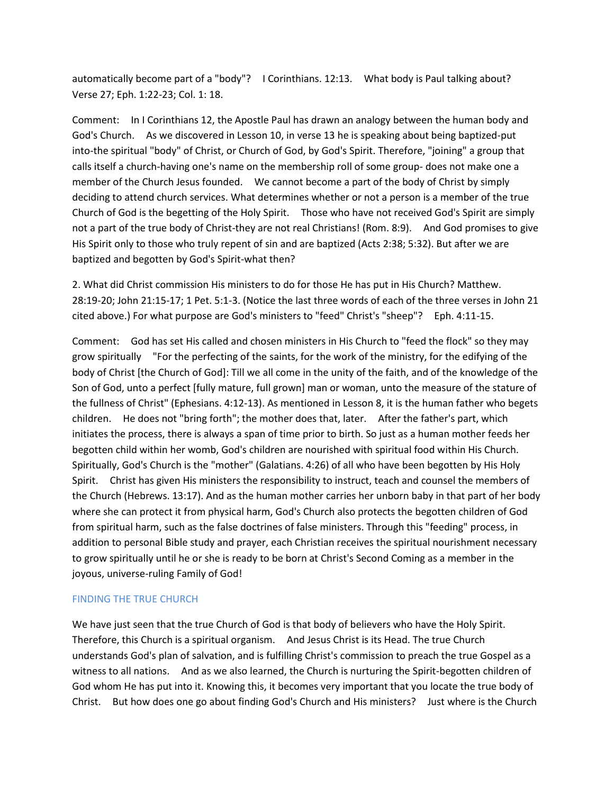automatically become part of a "body"? I Corinthians. 12:13. What body is Paul talking about? Verse 27; Eph. 1:22-23; Col. 1: 18.

Comment: In I Corinthians 12, the Apostle Paul has drawn an analogy between the human body and God's Church. As we discovered in Lesson 10, in verse 13 he is speaking about being baptized-put into-the spiritual "body" of Christ, or Church of God, by God's Spirit. Therefore, "joining" a group that calls itself a church-having one's name on the membership roll of some group- does not make one a member of the Church Jesus founded. We cannot become a part of the body of Christ by simply deciding to attend church services. What determines whether or not a person is a member of the true Church of God is the begetting of the Holy Spirit. Those who have not received God's Spirit are simply not a part of the true body of Christ-they are not real Christians! (Rom. 8:9). And God promises to give His Spirit only to those who truly repent of sin and are baptized (Acts 2:38; 5:32). But after we are baptized and begotten by God's Spirit-what then?

2. What did Christ commission His ministers to do for those He has put in His Church? Matthew. 28:19-20; John 21:15-17; 1 Pet. 5:1-3. (Notice the last three words of each of the three verses in John 21 cited above.) For what purpose are God's ministers to "feed" Christ's "sheep"? Eph. 4:11-15.

Comment: God has set His called and chosen ministers in His Church to "feed the flock" so they may grow spiritually "For the perfecting of the saints, for the work of the ministry, for the edifying of the body of Christ [the Church of God]: Till we all come in the unity of the faith, and of the knowledge of the Son of God, unto a perfect [fully mature, full grown] man or woman, unto the measure of the stature of the fullness of Christ" (Ephesians. 4:12-13). As mentioned in Lesson 8, it is the human father who begets children. He does not "bring forth"; the mother does that, later. After the father's part, which initiates the process, there is always a span of time prior to birth. So just as a human mother feeds her begotten child within her womb, God's children are nourished with spiritual food within His Church. Spiritually, God's Church is the "mother" (Galatians. 4:26) of all who have been begotten by His Holy Spirit. Christ has given His ministers the responsibility to instruct, teach and counsel the members of the Church (Hebrews. 13:17). And as the human mother carries her unborn baby in that part of her body where she can protect it from physical harm, God's Church also protects the begotten children of God from spiritual harm, such as the false doctrines of false ministers. Through this "feeding" process, in addition to personal Bible study and prayer, each Christian receives the spiritual nourishment necessary to grow spiritually until he or she is ready to be born at Christ's Second Coming as a member in the joyous, universe-ruling Family of God!

### FINDING THE TRUE CHURCH

We have just seen that the true Church of God is that body of believers who have the Holy Spirit. Therefore, this Church is a spiritual organism. And Jesus Christ is its Head. The true Church understands God's plan of salvation, and is fulfilling Christ's commission to preach the true Gospel as a witness to all nations. And as we also learned, the Church is nurturing the Spirit-begotten children of God whom He has put into it. Knowing this, it becomes very important that you locate the true body of Christ. But how does one go about finding God's Church and His ministers? Just where is the Church